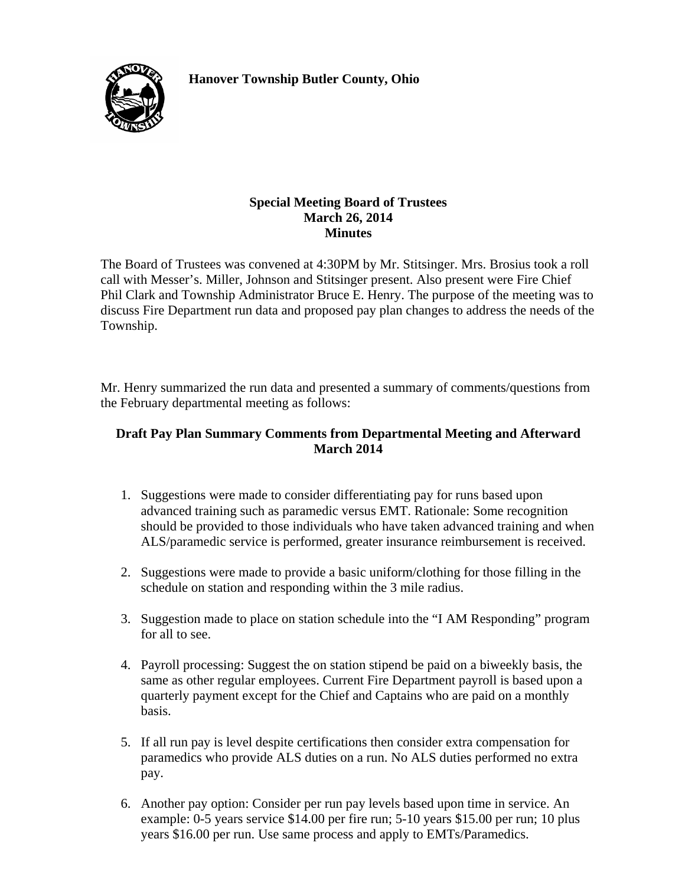**Hanover Township Butler County, Ohio** 



### **Special Meeting Board of Trustees March 26, 2014 Minutes**

The Board of Trustees was convened at 4:30PM by Mr. Stitsinger. Mrs. Brosius took a roll call with Messer's. Miller, Johnson and Stitsinger present. Also present were Fire Chief Phil Clark and Township Administrator Bruce E. Henry. The purpose of the meeting was to discuss Fire Department run data and proposed pay plan changes to address the needs of the Township.

Mr. Henry summarized the run data and presented a summary of comments/questions from the February departmental meeting as follows:

## **Draft Pay Plan Summary Comments from Departmental Meeting and Afterward March 2014**

- 1. Suggestions were made to consider differentiating pay for runs based upon advanced training such as paramedic versus EMT. Rationale: Some recognition should be provided to those individuals who have taken advanced training and when ALS/paramedic service is performed, greater insurance reimbursement is received.
- 2. Suggestions were made to provide a basic uniform/clothing for those filling in the schedule on station and responding within the 3 mile radius.
- 3. Suggestion made to place on station schedule into the "I AM Responding" program for all to see.
- 4. Payroll processing: Suggest the on station stipend be paid on a biweekly basis, the same as other regular employees. Current Fire Department payroll is based upon a quarterly payment except for the Chief and Captains who are paid on a monthly basis.
- 5. If all run pay is level despite certifications then consider extra compensation for paramedics who provide ALS duties on a run. No ALS duties performed no extra pay.
- 6. Another pay option: Consider per run pay levels based upon time in service. An example: 0-5 years service \$14.00 per fire run; 5-10 years \$15.00 per run; 10 plus years \$16.00 per run. Use same process and apply to EMTs/Paramedics.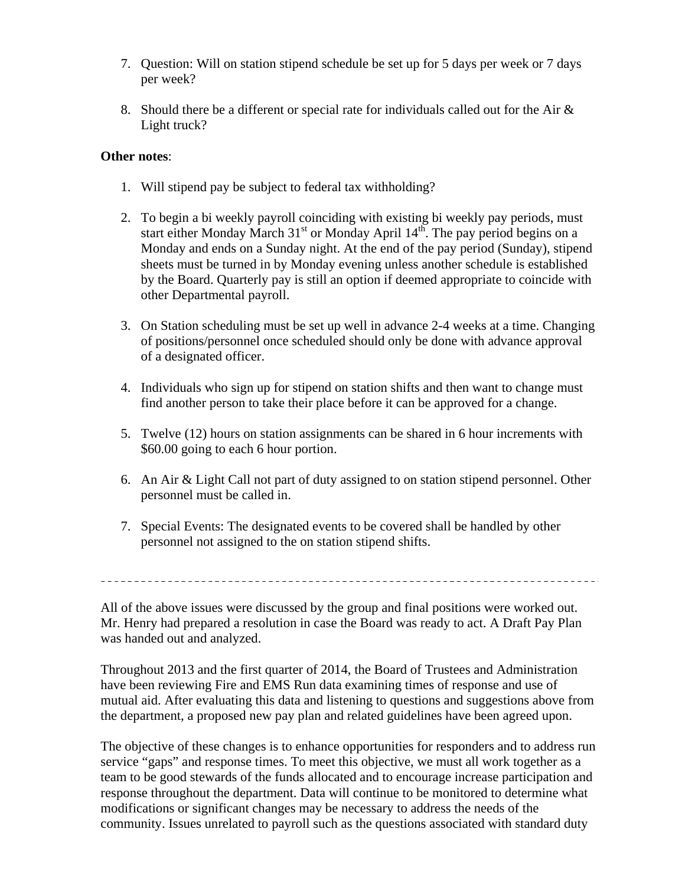- 7. Question: Will on station stipend schedule be set up for 5 days per week or 7 days per week?
- 8. Should there be a different or special rate for individuals called out for the Air & Light truck?

## **Other notes**:

- 1. Will stipend pay be subject to federal tax withholding?
- 2. To begin a bi weekly payroll coinciding with existing bi weekly pay periods, must start either Monday March  $31<sup>st</sup>$  or Monday April  $14<sup>th</sup>$ . The pay period begins on a Monday and ends on a Sunday night. At the end of the pay period (Sunday), stipend sheets must be turned in by Monday evening unless another schedule is established by the Board. Quarterly pay is still an option if deemed appropriate to coincide with other Departmental payroll.
- 3. On Station scheduling must be set up well in advance 2-4 weeks at a time. Changing of positions/personnel once scheduled should only be done with advance approval of a designated officer.
- 4. Individuals who sign up for stipend on station shifts and then want to change must find another person to take their place before it can be approved for a change.
- 5. Twelve (12) hours on station assignments can be shared in 6 hour increments with \$60.00 going to each 6 hour portion.
- 6. An Air & Light Call not part of duty assigned to on station stipend personnel. Other personnel must be called in.
- 7. Special Events: The designated events to be covered shall be handled by other personnel not assigned to the on station stipend shifts.

All of the above issues were discussed by the group and final positions were worked out. Mr. Henry had prepared a resolution in case the Board was ready to act. A Draft Pay Plan was handed out and analyzed.

Throughout 2013 and the first quarter of 2014, the Board of Trustees and Administration have been reviewing Fire and EMS Run data examining times of response and use of mutual aid. After evaluating this data and listening to questions and suggestions above from the department, a proposed new pay plan and related guidelines have been agreed upon.

The objective of these changes is to enhance opportunities for responders and to address run service "gaps" and response times. To meet this objective, we must all work together as a team to be good stewards of the funds allocated and to encourage increase participation and response throughout the department. Data will continue to be monitored to determine what modifications or significant changes may be necessary to address the needs of the community. Issues unrelated to payroll such as the questions associated with standard duty